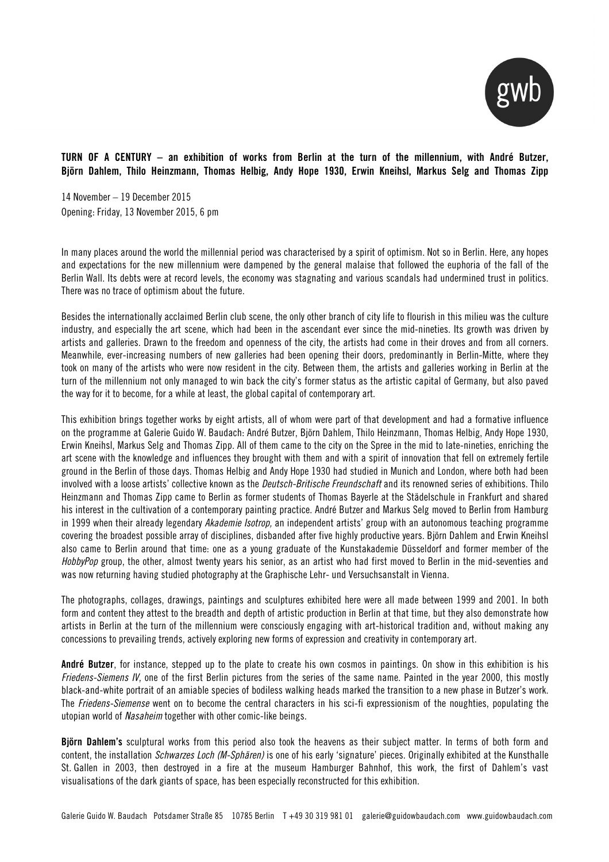

## TURN OF A CENTURY – an exhibition of works from Berlin at the turn of the millennium, with André Butzer, Björn Dahlem, Thilo Heinzmann, Thomas Helbig, Andy Hope 1930, Erwin Kneihsl, Markus Selg and Thomas Zipp

14 November – 19 December 2015 Opening: Friday, 13 November 2015, 6 pm

In many places around the world the millennial period was characterised by a spirit of optimism. Not so in Berlin. Here, any hopes and expectations for the new millennium were dampened by the general malaise that followed the euphoria of the fall of the Berlin Wall. Its debts were at record levels, the economy was stagnating and various scandals had undermined trust in politics. There was no trace of optimism about the future.

Besides the internationally acclaimed Berlin club scene, the only other branch of city life to flourish in this milieu was the culture industry, and especially the art scene, which had been in the ascendant ever since the mid-nineties. Its growth was driven by artists and galleries. Drawn to the freedom and openness of the city, the artists had come in their droves and from all corners. Meanwhile, ever-increasing numbers of new galleries had been opening their doors, predominantly in Berlin-Mitte, where they took on many of the artists who were now resident in the city. Between them, the artists and galleries working in Berlin at the turn of the millennium not only managed to win back the city's former status as the artistic capital of Germany, but also paved the way for it to become, for a while at least, the global capital of contemporary art.

This exhibition brings together works by eight artists, all of whom were part of that development and had a formative influence on the programme at Galerie Guido W. Baudach: André Butzer, Björn Dahlem, Thilo Heinzmann, Thomas Helbig, Andy Hope 1930, Erwin Kneihsl, Markus Selg and Thomas Zipp. All of them came to the city on the Spree in the mid to late-nineties, enriching the art scene with the knowledge and influences they brought with them and with a spirit of innovation that fell on extremely fertile ground in the Berlin of those days. Thomas Helbig and Andy Hope 1930 had studied in Munich and London, where both had been involved with a loose artists' collective known as the *Deutsch-Britische Freundschaft* and its renowned series of exhibitions. Thilo Heinzmann and Thomas Zipp came to Berlin as former students of Thomas Bayerle at the Städelschule in Frankfurt and shared his interest in the cultivation of a contemporary painting practice. André Butzer and Markus Selg moved to Berlin from Hamburg in 1999 when their already legendary *Akademie Isotrop,* an independent artists' group with an autonomous teaching programme covering the broadest possible array of disciplines, disbanded after five highly productive years. Björn Dahlem and Erwin Kneihsl also came to Berlin around that time: one as a young graduate of the Kunstakademie Düsseldorf and former member of the *HobbyPop* group, the other, almost twenty years his senior, as an artist who had first moved to Berlin in the mid-seventies and was now returning having studied photography at the Graphische Lehr- und Versuchsanstalt in Vienna.

The photographs, collages, drawings, paintings and sculptures exhibited here were all made between 1999 and 2001. In both form and content they attest to the breadth and depth of artistic production in Berlin at that time, but they also demonstrate how artists in Berlin at the turn of the millennium were consciously engaging with art-historical tradition and, without making any concessions to prevailing trends, actively exploring new forms of expression and creativity in contemporary art.

André Butzer, for instance, stepped up to the plate to create his own cosmos in paintings. On show in this exhibition is his *Friedens-Siemens IV*, one of the first Berlin pictures from the series of the same name. Painted in the year 2000, this mostly black-and-white portrait of an amiable species of bodiless walking heads marked the transition to a new phase in Butzer's work. The *Friedens-Siemense* went on to become the central characters in his sci-fi expressionism of the noughties, populating the utopian world of *Nasaheim* together with other comic-like beings.

Björn Dahlem's sculptural works from this period also took the heavens as their subject matter. In terms of both form and content, the installation *Schwarzes Loch (M-Sphären)* is one of his early 'signature' pieces. Originally exhibited at the Kunsthalle St. Gallen in 2003, then destroyed in a fire at the museum Hamburger Bahnhof, this work, the first of Dahlem's vast visualisations of the dark giants of space, has been especially reconstructed for this exhibition.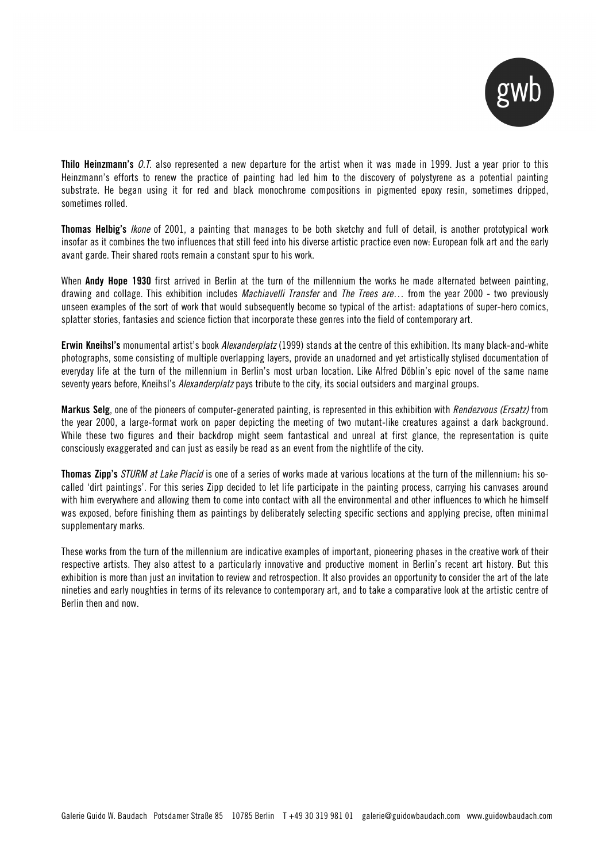

Thilo Heinzmann's *O.T.* also represented a new departure for the artist when it was made in 1999. Just a year prior to this Heinzmann's efforts to renew the practice of painting had led him to the discovery of polystyrene as a potential painting substrate. He began using it for red and black monochrome compositions in pigmented epoxy resin, sometimes dripped, sometimes rolled.

Thomas Helbig's *Ikone* of 2001, a painting that manages to be both sketchy and full of detail, is another prototypical work insofar as it combines the two influences that still feed into his diverse artistic practice even now: European folk art and the early avant garde. Their shared roots remain a constant spur to his work.

When Andy Hope 1930 first arrived in Berlin at the turn of the millennium the works he made alternated between painting, drawing and collage. This exhibition includes *Machiavelli Transfer* and *The Trees are…* from the year 2000 - two previously unseen examples of the sort of work that would subsequently become so typical of the artist: adaptations of super-hero comics, splatter stories, fantasies and science fiction that incorporate these genres into the field of contemporary art.

Erwin Kneihsl's monumental artist's book *Alexanderplatz* (1999) stands at the centre of this exhibition. Its many black-and-white photographs, some consisting of multiple overlapping layers, provide an unadorned and yet artistically stylised documentation of everyday life at the turn of the millennium in Berlin's most urban location. Like Alfred Döblin's epic novel of the same name seventy years before, Kneihsl's *Alexanderplatz* pays tribute to the city, its social outsiders and marginal groups.

Markus Selg, one of the pioneers of computer-generated painting, is represented in this exhibition with *Rendezvous (Ersatz)* from the year 2000, a large-format work on paper depicting the meeting of two mutant-like creatures against a dark background. While these two figures and their backdrop might seem fantastical and unreal at first glance, the representation is quite consciously exaggerated and can just as easily be read as an event from the nightlife of the city.

Thomas Zipp's *STURM at Lake Placid* is one of a series of works made at various locations at the turn of the millennium: his socalled 'dirt paintings'. For this series Zipp decided to let life participate in the painting process, carrying his canvases around with him everywhere and allowing them to come into contact with all the environmental and other influences to which he himself was exposed, before finishing them as paintings by deliberately selecting specific sections and applying precise, often minimal supplementary marks.

These works from the turn of the millennium are indicative examples of important, pioneering phases in the creative work of their respective artists. They also attest to a particularly innovative and productive moment in Berlin's recent art history. But this exhibition is more than just an invitation to review and retrospection. It also provides an opportunity to consider the art of the late nineties and early noughties in terms of its relevance to contemporary art, and to take a comparative look at the artistic centre of Berlin then and now.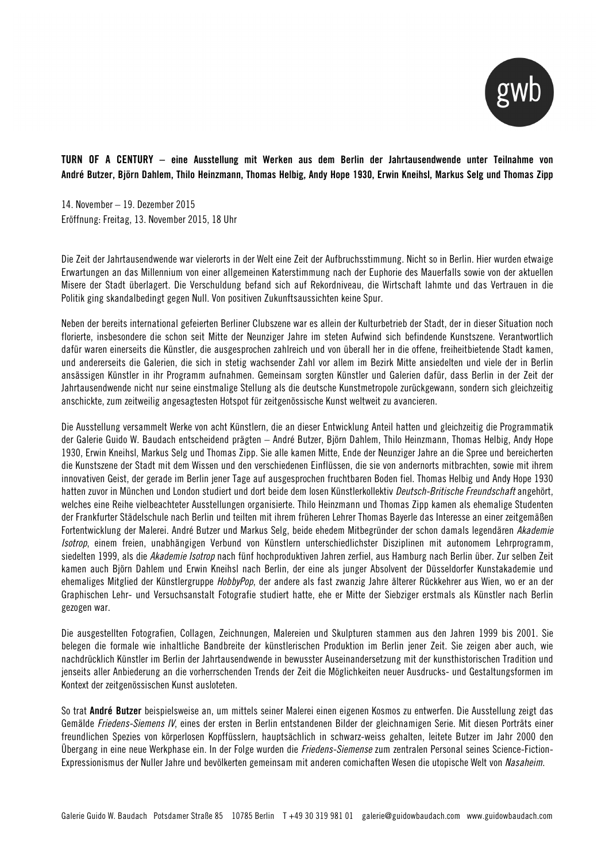

TURN OF A CENTURY – eine Ausstellung mit Werken aus dem Berlin der Jahrtausendwende unter Teilnahme von André Butzer, Björn Dahlem, Thilo Heinzmann, Thomas Helbig, Andy Hope 1930, Erwin Kneihsl, Markus Selg und Thomas Zipp

14. November – 19. Dezember 2015 Eröffnung: Freitag, 13. November 2015, 18 Uhr

Die Zeit der Jahrtausendwende war vielerorts in der Welt eine Zeit der Aufbruchsstimmung. Nicht so in Berlin. Hier wurden etwaige Erwartungen an das Millennium von einer allgemeinen Katerstimmung nach der Euphorie des Mauerfalls sowie von der aktuellen Misere der Stadt überlagert. Die Verschuldung befand sich auf Rekordniveau, die Wirtschaft lahmte und das Vertrauen in die Politik ging skandalbedingt gegen Null. Von positiven Zukunftsaussichten keine Spur.

Neben der bereits international gefeierten Berliner Clubszene war es allein der Kulturbetrieb der Stadt, der in dieser Situation noch florierte, insbesondere die schon seit Mitte der Neunziger Jahre im steten Aufwind sich befindende Kunstszene. Verantwortlich dafür waren einerseits die Künstler, die ausgesprochen zahlreich und von überall her in die offene, freiheitbietende Stadt kamen, und andererseits die Galerien, die sich in stetig wachsender Zahl vor allem im Bezirk Mitte ansiedelten und viele der in Berlin ansässigen Künstler in ihr Programm aufnahmen. Gemeinsam sorgten Künstler und Galerien dafür, dass Berlin in der Zeit der Jahrtausendwende nicht nur seine einstmalige Stellung als die deutsche Kunstmetropole zurückgewann, sondern sich gleichzeitig anschickte, zum zeitweilig angesagtesten Hotspot für zeitgenössische Kunst weltweit zu avancieren.

Die Ausstellung versammelt Werke von acht Künstlern, die an dieser Entwicklung Anteil hatten und gleichzeitig die Programmatik der Galerie Guido W. Baudach entscheidend prägten – André Butzer, Björn Dahlem, Thilo Heinzmann, Thomas Helbig, Andy Hope 1930, Erwin Kneihsl, Markus Selg und Thomas Zipp. Sie alle kamen Mitte, Ende der Neunziger Jahre an die Spree und bereicherten die Kunstszene der Stadt mit dem Wissen und den verschiedenen Einflüssen, die sie von andernorts mitbrachten, sowie mit ihrem innovativen Geist, der gerade im Berlin jener Tage auf ausgesprochen fruchtbaren Boden fiel. Thomas Helbig und Andy Hope 1930 hatten zuvor in München und London studiert und dort beide dem losen Künstlerkollektiv *Deutsch-Britische Freundschaft* angehört, welches eine Reihe vielbeachteter Ausstellungen organisierte. Thilo Heinzmann und Thomas Zipp kamen als ehemalige Studenten der Frankfurter Städelschule nach Berlin und teilten mit ihrem früheren Lehrer Thomas Bayerle das Interesse an einer zeitgemäßen Fortentwicklung der Malerei. André Butzer und Markus Selg, beide ehedem Mitbegründer der schon damals legendären *Akademie Isotrop*, einem freien, unabhängigen Verbund von Künstlern unterschiedlichster Disziplinen mit autonomem Lehrprogramm, siedelten 1999, als die *Akademie Isotrop* nach fünf hochproduktiven Jahren zerfiel, aus Hamburg nach Berlin über. Zur selben Zeit kamen auch Björn Dahlem und Erwin Kneihsl nach Berlin, der eine als junger Absolvent der Düsseldorfer Kunstakademie und ehemaliges Mitglied der Künstlergruppe *HobbyPop*, der andere als fast zwanzig Jahre älterer Rückkehrer aus Wien, wo er an der Graphischen Lehr- und Versuchsanstalt Fotografie studiert hatte, ehe er Mitte der Siebziger erstmals als Künstler nach Berlin gezogen war.

Die ausgestellten Fotografien, Collagen, Zeichnungen, Malereien und Skulpturen stammen aus den Jahren 1999 bis 2001. Sie belegen die formale wie inhaltliche Bandbreite der künstlerischen Produktion im Berlin jener Zeit. Sie zeigen aber auch, wie nachdrücklich Künstler im Berlin der Jahrtausendwende in bewusster Auseinandersetzung mit der kunsthistorischen Tradition und jenseits aller Anbiederung an die vorherrschenden Trends der Zeit die Möglichkeiten neuer Ausdrucks- und Gestaltungsformen im Kontext der zeitgenössischen Kunst ausloteten.

So trat André Butzer beispielsweise an, um mittels seiner Malerei einen eigenen Kosmos zu entwerfen. Die Ausstellung zeigt das Gemälde *Friedens-Siemens IV*, eines der ersten in Berlin entstandenen Bilder der gleichnamigen Serie. Mit diesen Porträts einer freundlichen Spezies von körperlosen Kopffüsslern, hauptsächlich in schwarz-weiss gehalten, leitete Butzer im Jahr 2000 den Übergang in eine neue Werkphase ein. In der Folge wurden die *Friedens-Siemense* zum zentralen Personal seines Science-Fiction-Expressionismus der Nuller Jahre und bevölkerten gemeinsam mit anderen comichaften Wesen die utopische Welt von *Nasaheim*.